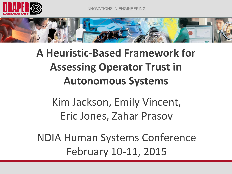



# **A Heuristic-Based Framework for Assessing Operator Trust in Autonomous Systems**

Kim Jackson, Emily Vincent, Eric Jones, Zahar Prasov

NDIA Human Systems Conference February 10-11, 2015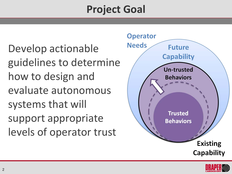# **Project Goal**

Develop actionable guidelines to determine how to design and evaluate autonomous systems that will support appropriate levels of operator trust



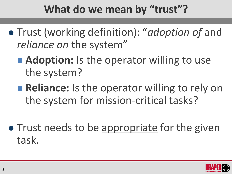# **What do we mean by "trust"?**

- Trust (working definition): "*adoption of* and *reliance on the system"* 
	- **Adoption:** Is the operator willing to use the system?
	- **Reliance:** Is the operator willing to rely on the system for mission-critical tasks?
- Trust needs to be appropriate for the given task.

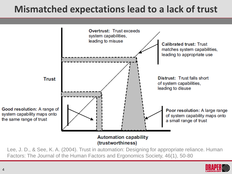#### **Mismatched expectations lead to a lack of trust**



Factors: The Journal of the Human Factors and Ergonomics Society, 46(1), 50-80

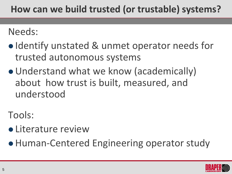#### **How can we build trusted (or trustable) systems?**

Needs:

- Identify unstated & unmet operator needs for trusted autonomous systems
- Understand what we know (academically) about how trust is built, measured, and understood

Tools:

- **Literature review**
- Human-Centered Engineering operator study

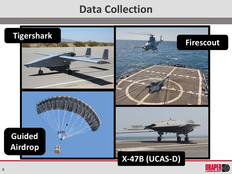#### **Data Collection**

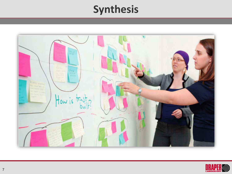## **Synthesis**



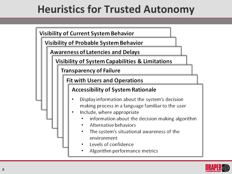# **Heuristics for Trusted Autonomy**

**Visibility of Current System Behavior** 

**Visibility of Probable System Behavior** 

**Awareness of Latencies and Delays** 

**Visibility of System Capabilities & Limitations** 

**Transparency of Failure** 

**Fit with Users and Operations** 

#### **Accessibility of System Rationale**

- Display information about the system's decision ٠ making process in a language familiar to the user
- Include, where appropriate ٠
	- information about the decision making algorithm
	- Alternative behaviors
	- The system's situational awareness of the environment
	- Levels of confidence
	- Algorithm performance metrics

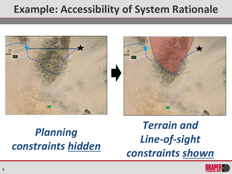## **Example: Accessibility of System Rationale**





*Planning constraints hidden*

*Terrain and Line-of-sight constraints shown*

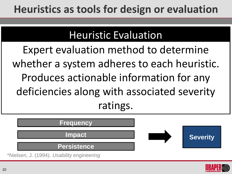## **Heuristics as tools for design or evaluation**

#### Heuristic Evaluation

Expert evaluation method to determine whether a system adheres to each heuristic. Produces actionable information for any deficiencies along with associated severity ratings.

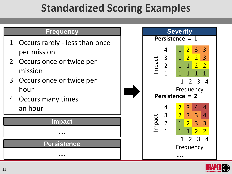## **Standardized Scoring Examples**

#### **Frequency**

- 1 Occurs rarely less than once per mission
- 2 Occurs once or twice per mission
- 3 Occurs once or twice per hour
- 4 Occurs many times an hour

#### **Impact**

#### **…**

#### **Persistence**



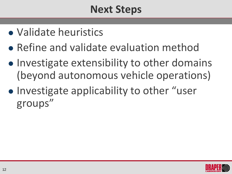## **Next Steps**

- Validate heuristics
- Refine and validate evaluation method
- Investigate extensibility to other domains (beyond autonomous vehicle operations)
- Investigate applicability to other "user groups"